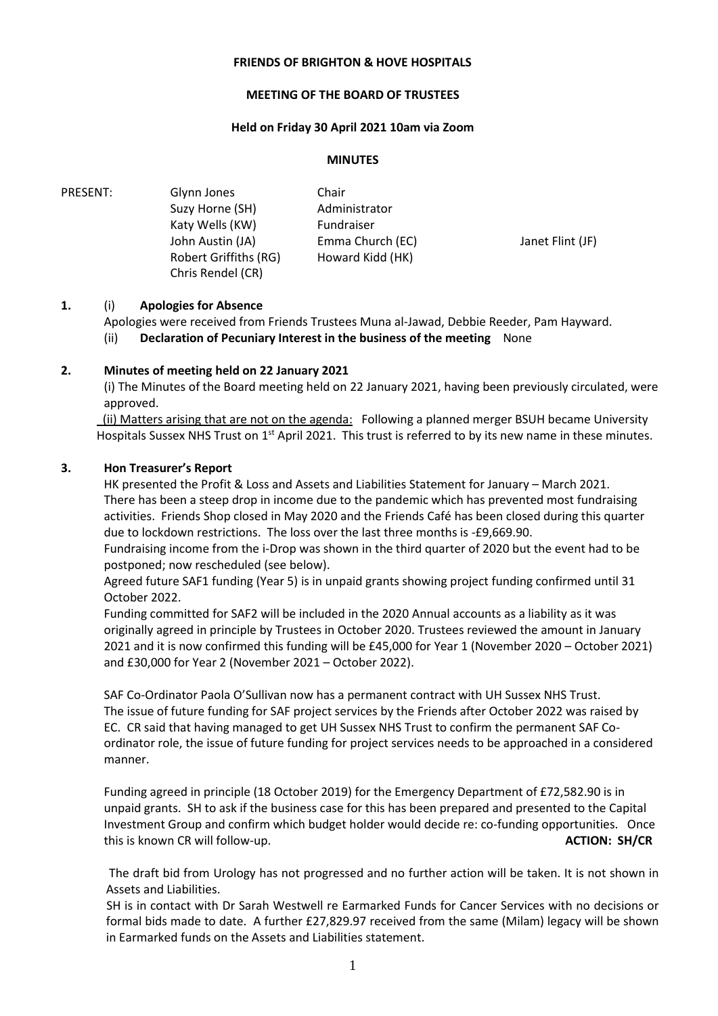#### **FRIENDS OF BRIGHTON & HOVE HOSPITALS**

#### **MEETING OF THE BOARD OF TRUSTEES**

#### **Held on Friday 30 April 2021 10am via Zoom**

#### **MINUTES**

PRESENT: Glynn Jones Suzy Horne (SH) Katy Wells (KW) Chair Administrator Fundraiser John Austin (JA) Robert Griffiths (RG) Chris Rendel (CR) Emma Church (EC) Howard Kidd (HK) Janet Flint (JF)

### **1.** (i) **Apologies for Absence**

Apologies were received from Friends Trustees Muna al-Jawad, Debbie Reeder, Pam Hayward. (ii) **Declaration of Pecuniary Interest in the business of the meeting** None

#### **2. Minutes of meeting held on 22 January 2021**

(i) The Minutes of the Board meeting held on 22 January 2021, having been previously circulated, were approved.

 (ii) Matters arising that are not on the agenda: Following a planned merger BSUH became University Hospitals Sussex NHS Trust on 1<sup>st</sup> April 2021. This trust is referred to by its new name in these minutes.

#### **3. Hon Treasurer's Report**

HK presented the Profit & Loss and Assets and Liabilities Statement for January – March 2021. There has been a steep drop in income due to the pandemic which has prevented most fundraising activities. Friends Shop closed in May 2020 and the Friends Café has been closed during this quarter due to lockdown restrictions. The loss over the last three months is -£9,669.90.

Fundraising income from the i-Drop was shown in the third quarter of 2020 but the event had to be postponed; now rescheduled (see below).

Agreed future SAF1 funding (Year 5) is in unpaid grants showing project funding confirmed until 31 October 2022.

Funding committed for SAF2 will be included in the 2020 Annual accounts as a liability as it was originally agreed in principle by Trustees in October 2020. Trustees reviewed the amount in January 2021 and it is now confirmed this funding will be £45,000 for Year 1 (November 2020 – October 2021) and £30,000 for Year 2 (November 2021 – October 2022).

SAF Co-Ordinator Paola O'Sullivan now has a permanent contract with UH Sussex NHS Trust. The issue of future funding for SAF project services by the Friends after October 2022 was raised by EC. CR said that having managed to get UH Sussex NHS Trust to confirm the permanent SAF Coordinator role, the issue of future funding for project services needs to be approached in a considered manner.

Funding agreed in principle (18 October 2019) for the Emergency Department of £72,582.90 is in unpaid grants. SH to ask if the business case for this has been prepared and presented to the Capital Investment Group and confirm which budget holder would decide re: co-funding opportunities. Once this is known CR will follow-up. **ACTION: SH/CR**

The draft bid from Urology has not progressed and no further action will be taken. It is not shown in Assets and Liabilities.

 SH is in contact with Dr Sarah Westwell re Earmarked Funds for Cancer Services with no decisions or formal bids made to date. A further £27,829.97 received from the same (Milam) legacy will be shown in Earmarked funds on the Assets and Liabilities statement.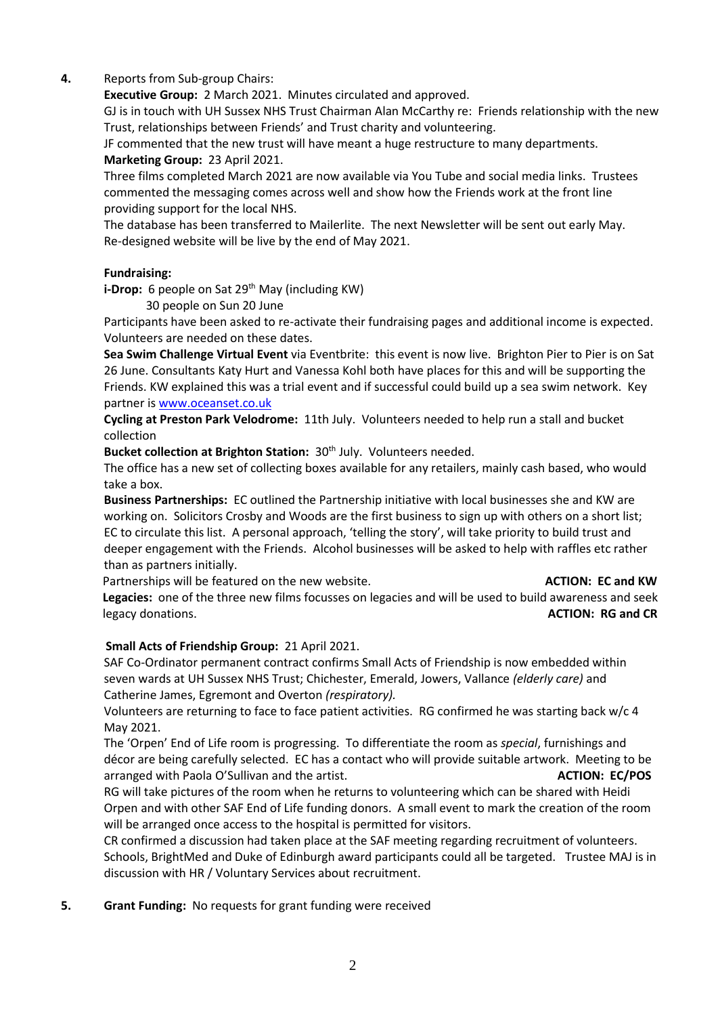# **4.** Reports from Sub-group Chairs:

**Executive Group:** 2 March 2021. Minutes circulated and approved.

GJ is in touch with UH Sussex NHS Trust Chairman Alan McCarthy re: Friends relationship with the new Trust, relationships between Friends' and Trust charity and volunteering.

JF commented that the new trust will have meant a huge restructure to many departments. **Marketing Group:** 23 April 2021.

Three films completed March 2021 are now available via You Tube and social media links. Trustees commented the messaging comes across well and show how the Friends work at the front line providing support for the local NHS.

The database has been transferred to Mailerlite. The next Newsletter will be sent out early May. Re-designed website will be live by the end of May 2021.

## **Fundraising:**

**i-Drop:** 6 people on Sat 29<sup>th</sup> May (including KW)

30 people on Sun 20 June

Participants have been asked to re-activate their fundraising pages and additional income is expected. Volunteers are needed on these dates.

**Sea Swim Challenge Virtual Event** via Eventbrite: this event is now live. Brighton Pier to Pier is on Sat 26 June. Consultants Katy Hurt and Vanessa Kohl both have places for this and will be supporting the Friends. KW explained this was a trial event and if successful could build up a sea swim network. Key partner i[s www.oceanset.co.uk](http://www.oceanset.co.uk/) 

**Cycling at Preston Park Velodrome:** 11th July. Volunteers needed to help run a stall and bucket collection

Bucket collection at Brighton Station: 30<sup>th</sup> July. Volunteers needed.

The office has a new set of collecting boxes available for any retailers, mainly cash based, who would take a box.

**Business Partnerships:** EC outlined the Partnership initiative with local businesses she and KW are working on. Solicitors Crosby and Woods are the first business to sign up with others on a short list; EC to circulate this list. A personal approach, 'telling the story', will take priority to build trust and deeper engagement with the Friends. Alcohol businesses will be asked to help with raffles etc rather than as partners initially.

Partnerships will be featured on the new website. **ACTION: EC and KW** 

 **Legacies:** one of the three new films focusses on legacies and will be used to build awareness and seek legacy donations. **ACTION: RG and CR**

# **Small Acts of Friendship Group:** 21 April 2021.

SAF Co-Ordinator permanent contract confirms Small Acts of Friendship is now embedded within seven wards at UH Sussex NHS Trust; Chichester, Emerald, Jowers, Vallance *(elderly care)* and Catherine James, Egremont and Overton *(respiratory).*

Volunteers are returning to face to face patient activities. RG confirmed he was starting back w/c 4 May 2021.

The 'Orpen' End of Life room is progressing. To differentiate the room as *special*, furnishings and décor are being carefully selected. EC has a contact who will provide suitable artwork. Meeting to be arranged with Paola O'Sullivan and the artist. **ACTION: EC/POS**

RG will take pictures of the room when he returns to volunteering which can be shared with Heidi Orpen and with other SAF End of Life funding donors. A small event to mark the creation of the room will be arranged once access to the hospital is permitted for visitors.

CR confirmed a discussion had taken place at the SAF meeting regarding recruitment of volunteers. Schools, BrightMed and Duke of Edinburgh award participants could all be targeted. Trustee MAJ is in discussion with HR / Voluntary Services about recruitment.

**5. Grant Funding:** No requests for grant funding were received